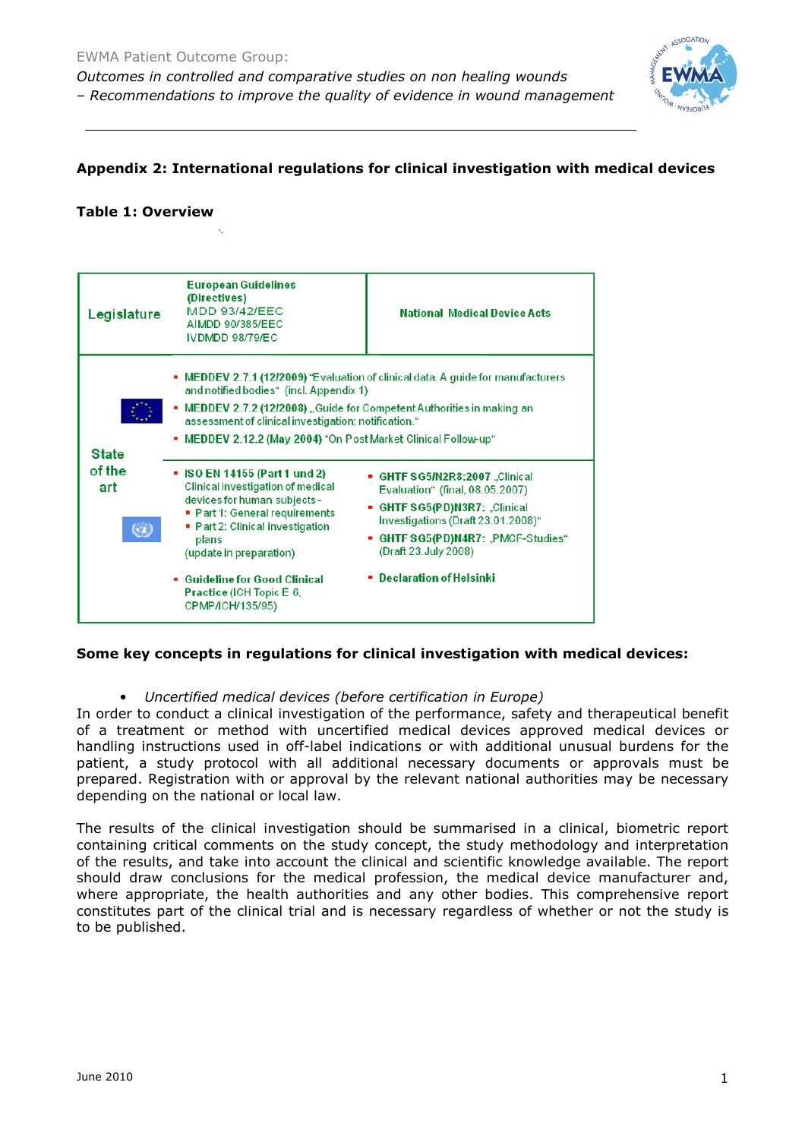

### **Appendix 2: International regulations for clinical investigation with medical devices**

#### **Table 1: Overview**



### **Some key concepts in regulations for clinical investigation with medical devices:**

• *Uncertified medical devices (before certification in Europe)* 

In order to conduct a clinical investigation of the performance, safety and therapeutical benefit of a treatment or method with uncertified medical devices approved medical devices or handling instructions used in off-label indications or with additional unusual burdens for the patient, a study protocol with all additional necessary documents or approvals must be prepared. Registration with or approval by the relevant national authorities may be necessary depending on the national or local law.

The results of the clinical investigation should be summarised in a clinical, biometric report containing critical comments on the study concept, the study methodology and interpretation of the results, and take into account the clinical and scientific knowledge available. The report should draw conclusions for the medical profession, the medical device manufacturer and, where appropriate, the health authorities and any other bodies. This comprehensive report constitutes part of the clinical trial and is necessary regardless of whether or not the study is to be published.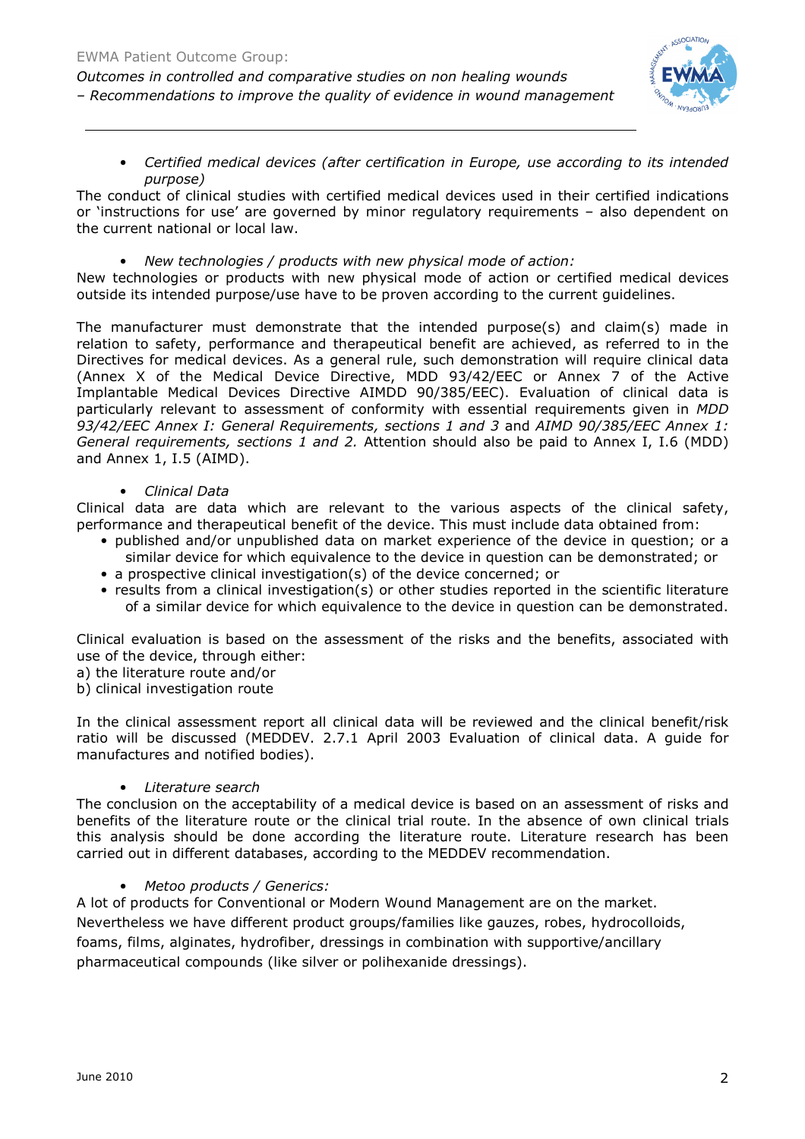

• *Certified medical devices (after certification in Europe, use according to its intended purpose)* 

The conduct of clinical studies with certified medical devices used in their certified indications or 'instructions for use' are governed by minor regulatory requirements – also dependent on the current national or local law.

• *New technologies / products with new physical mode of action:* 

New technologies or products with new physical mode of action or certified medical devices outside its intended purpose/use have to be proven according to the current guidelines.

The manufacturer must demonstrate that the intended purpose(s) and claim(s) made in relation to safety, performance and therapeutical benefit are achieved, as referred to in the Directives for medical devices. As a general rule, such demonstration will require clinical data (Annex X of the Medical Device Directive, MDD 93/42/EEC or Annex 7 of the Active Implantable Medical Devices Directive AIMDD 90/385/EEC). Evaluation of clinical data is particularly relevant to assessment of conformity with essential requirements given in *MDD 93/42/EEC Annex I: General Requirements, sections 1 and 3* and *AIMD 90/385/EEC Annex 1: General requirements, sections 1 and 2.* Attention should also be paid to Annex I, I.6 (MDD) and Annex 1, I.5 (AIMD).

• *Clinical Data* 

Clinical data are data which are relevant to the various aspects of the clinical safety, performance and therapeutical benefit of the device. This must include data obtained from:

- published and/or unpublished data on market experience of the device in question; or a similar device for which equivalence to the device in question can be demonstrated; or
- a prospective clinical investigation(s) of the device concerned; or
- results from a clinical investigation(s) or other studies reported in the scientific literature of a similar device for which equivalence to the device in question can be demonstrated.

Clinical evaluation is based on the assessment of the risks and the benefits, associated with use of the device, through either:

- a) the literature route and/or
- b) clinical investigation route

In the clinical assessment report all clinical data will be reviewed and the clinical benefit/risk ratio will be discussed (MEDDEV. 2.7.1 April 2003 Evaluation of clinical data. A guide for manufactures and notified bodies).

# • *Literature search*

The conclusion on the acceptability of a medical device is based on an assessment of risks and benefits of the literature route or the clinical trial route. In the absence of own clinical trials this analysis should be done according the literature route. Literature research has been carried out in different databases, according to the MEDDEV recommendation.

# • *Metoo products / Generics:*

A lot of products for Conventional or Modern Wound Management are on the market. Nevertheless we have different product groups/families like gauzes, robes, hydrocolloids, foams, films, alginates, hydrofiber, dressings in combination with supportive/ancillary pharmaceutical compounds (like silver or polihexanide dressings).